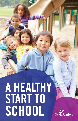# A HEALTHY START TO **SCHOOL**

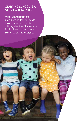# **STARTING SCHOOL IS A VERY EXCITING STEP**

With encouragement and understanding, the transition to this new stage in life will be a fulfilling adventure. This brochure is full of ideas on how to make school healthy and rewarding.

Page 2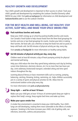# **HEALTHY GROWTH AND DEVELOPMENT**

Your child's growth and development is important to their success in school. Track your child's growth and development by completing the Looksee Checklist (formerly called NDDS) for your child. Visit york.ca/earlyyears for information on child development and lookseechecklist.com to use the Looksee Checklist.

# **FOR THE BEST HEALTH AND WELL-BEING, EAT HEALTHY, STAY ACTIVE, SLEEP WELL AND MAKE YOUR SPACE SMOKE-FREE**

#### **Pack nutritious lunches and snacks**

eep your child's energy up at school by packing healthy lunches and snacks. se Canada's Food Guide to help choose foods from the three food groupings for lunches and one or two food groupings for snacks. Involve your kids in making their lunches. Be food safe; use a thermos to keep hot foods hot and ice packs to keep cold foods cold. Get 60 minutes of physical activity per day, every day.

Visit canada.ca/foodguide for more information on healthy eating habits.

#### **Get 60 minutes of physical activity per day, every day**

hildren need at least 60 minutes a day of heart pumping activity for physical and mental well-being.

elp your child reduce the time they spend being sedentary each day by limiting screen time (television, electronic devices, etc.) to no more than two hours per day. Limit sedentary (motorized) transport, extended sitting and time spent indoors throughout the day.

Learning physical literacy or basic movement skills such as running, jumping, balancing, catching, throwing, kicking, swimming, etc. helps children successfully join in a variety of sports and physical activities for life. Allow time for unstructured outdoor active play every day.

For more information visit york.ca/physicalactivity

# **Sleep tight — and for at least 10 hours**

Make sure your child gets at least 10 hours of uninterrupted sleep per night to place their body's energy. Keep regular bed times and wake up times.

# **Make your space smoke-free**

smoke-free environment is essential to keep your child healthy. Your child's lungs are still developing, making them more vulnerable to the effects of smoke kposure. Smoking in the home increases your child's risk of getting colds, ear ifections, bronchitis, asthma and pneumonia.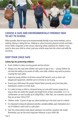

# **CHOOSE A SAFE AND ENVIRONMENTALLY FRIENDLY WAY TO GET TO SCHOOL**

When possible, think of ways to be environmentally friendly in your travel methods, such as walking, biking or taking the bus. Walking to school increases physical activity and helps lessen traffic congestion at the school, improving safety conditions for children. If you need to drive your child to school, park your vehicle away from the school and walk the last block.

# **KEEP YOUR CHILD SAFE**

#### **Safety tips for protecting children:**

- Teach children to obey crossing guards and bus drivers
- Always cross the road with children nine years of age or less young children do not have the ability to be aware of traffic; even older children may need to practice crossing the road safely
- Supervise young children at all times around fall hazards, such as stairs and playground equipment, whether you're at home or out to play
- Ensure your child wears the proper helmet fitted correctly every time they bike, skateboard, scooter or in-line skate
- It is safest to keep a child in a forward-facing car seat with harness straps for as long as they are within the weight and height limits of their convertible, 3-in-1 or combination car seat (usually up to 29kg/65lbs.). After that, use a booster seat until they are at least 145cm/4'9"
- Children under 13 years of age are safest buckled up in the back seat of a vehicle
- It is important to keep all substances (alcohol, cannabis edibles, pain medications etc.) out of children's reach and in a safe place
- Start the conversations early about substance use and be a positive role model. Remember, you are the most important influence in your child's life

Page 4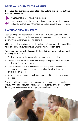# **DRESS YOUR CHILD FOR THE WEATHER**

#### **Keep your child comfortable and protected by making sure outdoor clothing matches the weather:**



In winter, children need hats, gloves and boots.

On sunny days or when the UV index is three or more, children should wear a bucket hat, cover up, play in the shade, put on sunscreen and wear sunglasses.

# **ENCOURAGE HEALTHY SMILES**

Tooth brushing is an important part of your child's daily routine. Use a child-sized toothbrush with soft, rounded bristles. Replace it every three to four months or sooner if worn, frayed and after your child has been sick.

Children up to six years of age are not able to brush their teeth properly— you will have to do it for them. Let your child have a turn brushing when you are done.

#### **Set a good example by letting your child see that you take care of your teeth daily and teach them to:**

- Brush at least twice a day for two minutes, especially before bedtime
- Floss daily, rinse mouth with water after eating/drinking and wait 30 minutes to brush teeth after meals and snacks
- Use a small green pea-sized amount of fluoride toothpaste for children aged three and older if they are able to spit, unless otherwise advised by their oral health professional
- Avoid sugary snacks between meals. Encourage your child to drink water rather than pop

Take your child to see a dentist regularly to maintain a healthy mouth, beginning with the first dental visit by first birthday. Visit york.ca/dental for more tips on healthy brushing and for information on dental programs available for children.

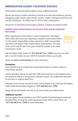# **IMMUNIZATION AGAINST CHILDHOOD DISEASES**

Immunization is the best defense against serious childhood diseases.

Ontario law requires students attending school be up-to-date with diphtheria, pertussis (whopping cough), tetanus, polio, mumps, measles, rubella, meningococcal disease and varicella (chickenpox - for children born in 2010 or later) immunizations.

All vaccines on the Routine Immunization Schedule in Ontario are publicly funded.

#### **Students whose immunizations are not up-to-date may be suspended from school.**

When registering for school (junior or senior kindergarten), York Region Public Health will contact you requesting a complete immunization history. It is the parent's responsibility to keep a record of a child's immunization and inform York Region Public Health of these immunizations. The name of the vaccine and the date it was given should be included in the yellow immunization record.



Call York Region Public Health at 1-877-464-9675 ext. 73456 every time your child gets a vaccine to make sure your child's immunization status is up-to-date.

Please visit york.ca/immunization for more information.

#### **Exemptions**

Some students may be exempt from immunization based on medical, religious or conscientious grounds.

Parents/guardians that do not want their child immunized due to non-medical reasons are required to attend an immunization education session and complete the statement of conscience or religious belief form.

Exemption forms may be accessed at york.ca/immunization or by contacting York Region Public Health Immunization Program at 1-877-464-9675 ext. 73456.

Always discuss the benefits and risks of any vaccine with your health provider.

#### **Additional vaccines**

Vaccines against human papilloma virus (HPV), hepatitis B and meningococcal disease are offered free of charge for certain age groups at your child's school. Please call 1-877-464-9675 ext. 73456 for more information.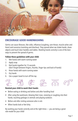

# **ENCOURAGE GOOD HANDWASHING**

Germs can cause illnesses, like colds, influenza (coughing, sore throat, muscle aches and fever) and norovirus (vomiting and diarrhea). They spread when we shake hands, share objects and touch door handles and tables. Washing hands correctly is one of the best ways to prevent the spread of germs.

# **Follow these guidelines with your child:**

- 1. Wet hands with warm running water
- 2. Apply soap
- 3. Rub hands together for 15 seconds (don't forget between fingers, thumbs, finger tips and back of hands)
- 4. Rinse hands with warm running water
- 5. Dry hands
- 6. Use a paper towel to turn off the tap



# **Remind your child to wash their hands:**

- Before eating or drinking and before and after handling food
- After using the washroom, blowing their nose, sneezing or coughing into their hands, touching garbage or animals and playing outdoors
- Before and after visiting someone who is sick
- When hands look or feel dirty

By washing your hands correctly and at the right times — you are being a great role model for your child!